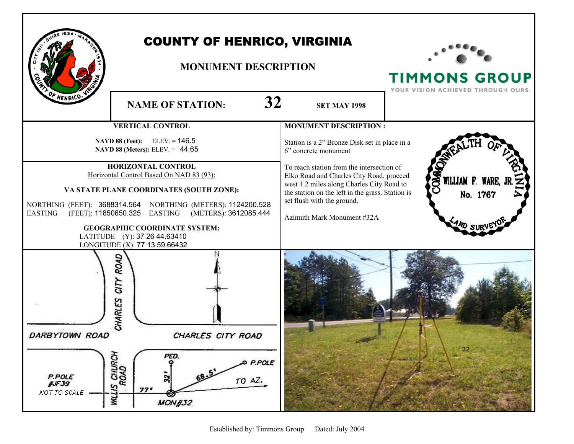| F HENRICO.                                                                                                                                                                                                                                                                                                                                                                                          | <b>COUNTY OF HENRICO, VIRGINIA</b><br><b>MONUMENT DESCRIPTION</b><br>32<br><b>NAME OF STATION:</b><br><b>SET MAY 1998</b>                                 |                                                                                                                                                                                                                                                                                                                                                             | <b>TIMMONS GROUP</b><br>YOUR VISION ACHIEVED THROUGH OURS. |
|-----------------------------------------------------------------------------------------------------------------------------------------------------------------------------------------------------------------------------------------------------------------------------------------------------------------------------------------------------------------------------------------------------|-----------------------------------------------------------------------------------------------------------------------------------------------------------|-------------------------------------------------------------------------------------------------------------------------------------------------------------------------------------------------------------------------------------------------------------------------------------------------------------------------------------------------------------|------------------------------------------------------------|
| <b>VERTICAL CONTROL</b><br>NAVD 88 (Feet): ELEV. = 146.5<br>NAVD 88 (Meters): ELEV. = 44.65<br>HORIZONTAL CONTROL<br>Horizontal Control Based On NAD 83 (93):<br>VA STATE PLANE COORDINATES (SOUTH ZONE):<br>NORTHING (FEET): 3688314.564 NORTHING (METERS): 1124200.528<br><b>EASTING</b><br><b>GEOGRAPHIC COORDINATE SYSTEM:</b><br>LATITUDE (Y): 37 26 44.63410<br>LONGITUDE (X): 77 13 59.66432 |                                                                                                                                                           | <b>MONUMENT DESCRIPTION:</b><br>Station is a 2" Bronze Disk set in place in a<br>6" concrete monument<br>To reach station from the intersection of<br>Elko Road and Charles City Road, proceed<br>west 1.2 miles along Charles City Road to<br>the station on the left in the grass. Station is<br>set flush with the ground.<br>Azimuth Mark Monument #32A | <b>AKO</b><br>WILLIAM F. WARE, J<br>No. 1767               |
| DARBYTOWN ROAD<br>P.POLE<br><b>JJF39</b><br>NOT TO SCALE                                                                                                                                                                                                                                                                                                                                            | ROAD<br><b>AID</b><br><b>CHARLES</b><br>CHARLES CITY ROAD<br>S CHURCH<br>ROAD<br>PED.<br>O P.POLE<br>S<br>TO AZ.<br><b>WILLIS</b><br>77'<br><b>MON#32</b> |                                                                                                                                                                                                                                                                                                                                                             | 32                                                         |